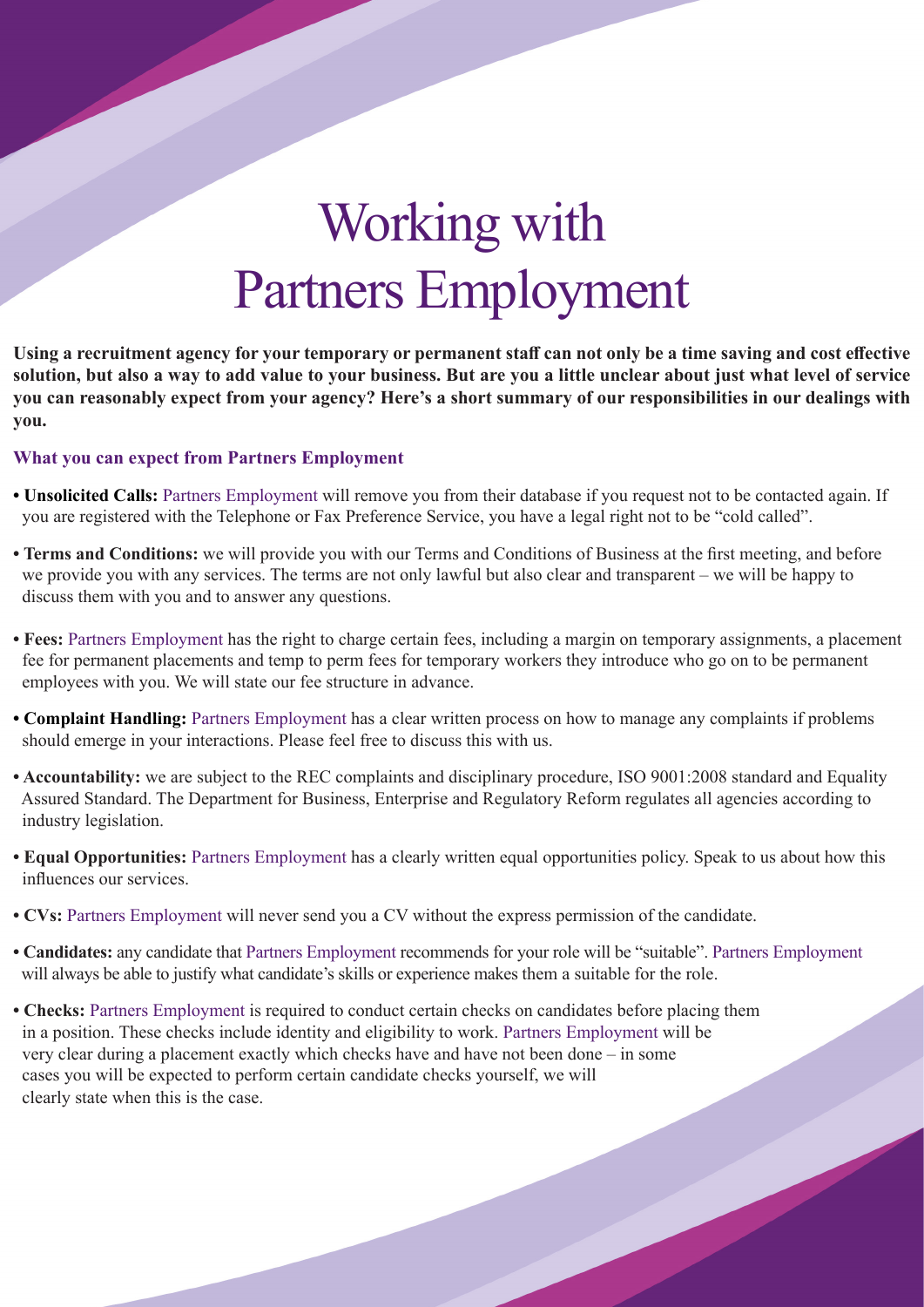# Working with Partners Employment

**Using a recruitment agency for your temporary or permanent staff can not only be a time saving and cost effective solution, but also a way to add value to your business. But are you a little unclear about just what level of service you can reasonably expect from your agency? Here's a short summary of our responsibilities in our dealings with you.** 

#### **What you can expect from Partners Employment**

- **Unsolicited Calls:** Partners Employment will remove you from their database if you request not to be contacted again. If you are registered with the Telephone or Fax Preference Service, you have a legal right not to be "cold called".
- **Terms and Conditions:** we will provide you with our Terms and Conditions of Business at the first meeting, and before we provide you with any services. The terms are not only lawful but also clear and transparent – we will be happy to discuss them with you and to answer any questions.
- **Fees:** Partners Employment has the right to charge certain fees, including a margin on temporary assignments, a placement fee for permanent placements and temp to perm fees for temporary workers they introduce who go on to be permanent employees with you. We will state our fee structure in advance.
- **Complaint Handling:** Partners Employment has a clear written process on how to manage any complaints if problems should emerge in your interactions. Please feel free to discuss this with us.
- **Accountability:** we are subject to the REC complaints and disciplinary procedure, ISO 9001:2008 standard and Equality Assured Standard. The Department for Business, Enterprise and Regulatory Reform regulates all agencies according to industry legislation.
- **Equal Opportunities:** Partners Employment has a clearly written equal opportunities policy. Speak to us about how this influences our services.
- **CVs:** Partners Employment will never send you a CV without the express permission of the candidate.
- **Candidates:** any candidate that Partners Employment recommends for your role will be "suitable". Partners Employment will always be able to justify what candidate's skills or experience makes them a suitable for the role.
- **Checks:** Partners Employment is required to conduct certain checks on candidates before placing them in a position. These checks include identity and eligibility to work. Partners Employment will be very clear during a placement exactly which checks have and have not been done – in some cases you will be expected to perform certain candidate checks yourself, we will clearly state when this is the case.